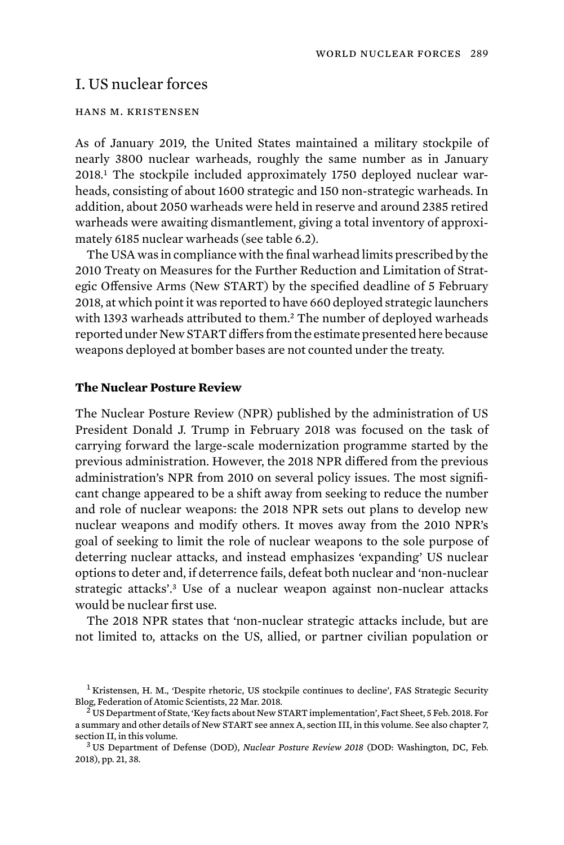# I. US nuclear forces

## hans m. kristensen

As of January 2019, the United States maintained a military stockpile of nearly 3800 nuclear warheads, roughly the same number as in January 2018.1 The stockpile included approximately 1750 deployed nuclear warheads, consisting of about 1600 strategic and 150 non-strategic warheads. In addition, about 2050 warheads were held in reserve and around 2385 retired warheads were awaiting dismantlement, giving a total inventory of approximately 6185 nuclear warheads (see table 6.2).

The USA was in compliance with the final warhead limits prescribed by the 2010 Treaty on Measures for the Further Reduction and Limitation of Strategic Offensive Arms (New START) by the specified deadline of 5 February 2018, at which point it was reported to have 660 deployed strategic launchers with 1393 warheads attributed to them.<sup>2</sup> The number of deployed warheads reported under New START differs from the estimate presented here because weapons deployed at bomber bases are not counted under the treaty.

## **The Nuclear Posture Review**

The Nuclear Posture Review (NPR) published by the administration of US President Donald J. Trump in February 2018 was focused on the task of carrying forward the large-scale modernization programme started by the previous administration. However, the 2018 NPR differed from the previous administration's NPR from 2010 on several policy issues. The most significant change appeared to be a shift away from seeking to reduce the number and role of nuclear weapons: the 2018 NPR sets out plans to develop new nuclear weapons and modify others. It moves away from the 2010 NPR's goal of seeking to limit the role of nuclear weapons to the sole purpose of deterring nuclear attacks, and instead emphasizes 'expanding' US nuclear options to deter and, if deterrence fails, defeat both nuclear and 'non-nuclear strategic attacks'.<sup>3</sup> Use of a nuclear weapon against non-nuclear attacks would be nuclear first use.

The 2018 NPR states that 'non-nuclear strategic attacks include, but are not limited to, attacks on the US, allied, or partner civilian population or

<sup>&</sup>lt;sup>1</sup> Kristensen, H. M., 'Despite rhetoric, US stockpile continues to decline', FAS Strategic Security Blog, Federation of Atomic Scientists, 22 Mar. 2018.<br><sup>2</sup> US Department of State, 'Key facts about New START implementation', Fact Sheet, 5 Feb. 2018. For

a summary and other details of New START see annex A, section III, in this volume. See also chapter 7, section II, in this volume.<br><sup>3</sup> US Department of Defense (DOD), *Nuclear Posture Review 2018* (DOD: Washington, DC, Feb.

<sup>2018),</sup> pp. 21, 38.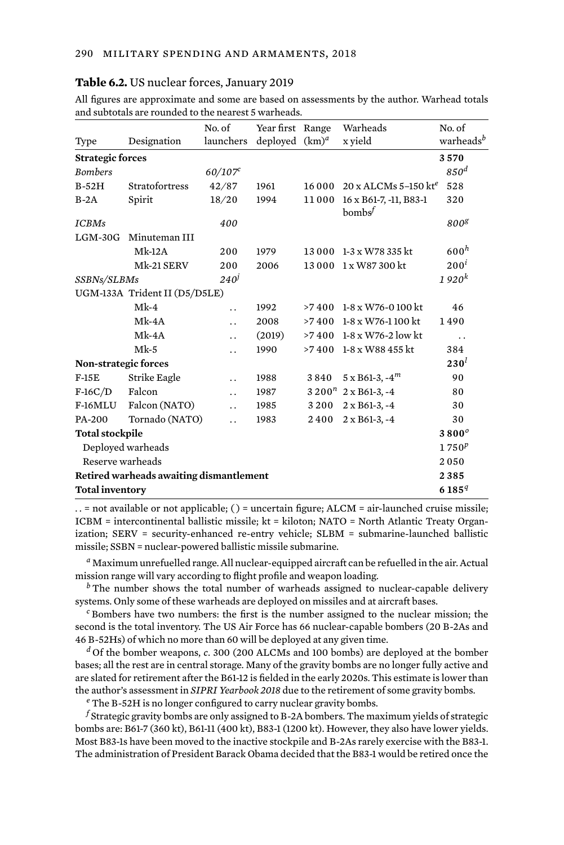#### **Table 6.2.** US nuclear forces, January 2019

| All figures are approximate and some are based on assessments by the author. Warhead totals |  |  |  |
|---------------------------------------------------------------------------------------------|--|--|--|
| and subtotals are rounded to the nearest 5 warheads.                                        |  |  |  |

|                                         |                               | No. of               | Year first Range  |        | Warheads                                   | No. of                |  |
|-----------------------------------------|-------------------------------|----------------------|-------------------|--------|--------------------------------------------|-----------------------|--|
| Type                                    | Designation                   | launchers            | deployed $(km)^d$ |        | x yield                                    | warheads <sup>b</sup> |  |
| <b>Strategic forces</b>                 |                               |                      |                   |        |                                            | 3570                  |  |
| <b>Bombers</b>                          |                               | 60/107c              |                   |        |                                            | 850 <sup>d</sup>      |  |
| $B-52H$                                 | Stratofortress                | 42/87                | 1961              | 16 000 | $20 \times$ ALCMs 5-150 kt <sup>e</sup>    | 528                   |  |
| $B-2A$                                  | Spirit                        | 18/20                | 1994              | 11000  | 16 x B61-7, -11, B83-1<br>$\text{bombs}^f$ | 320                   |  |
| <b>ICBMs</b>                            |                               | 400                  |                   |        |                                            | 800 <sup>g</sup>      |  |
| $LGM-30G$                               | Minuteman III                 |                      |                   |        |                                            |                       |  |
|                                         | $Mk-12A$                      | 200                  | 1979              |        | 13 000 1-3 x W78 335 kt                    | 600 <sup>h</sup>      |  |
|                                         | Mk-21 SERV                    | 200                  | 2006              |        | 13 000 1 x W87 300 kt                      | $200^i$               |  |
| SSBNs/SLBMs                             |                               | $240^{\circ}$        |                   |        |                                            | 1920 <sup>k</sup>     |  |
|                                         | UGM-133A Trident II (D5/D5LE) |                      |                   |        |                                            |                       |  |
|                                         | $Mk-4$                        | $\ddot{\phantom{0}}$ | 1992              | >7400  | 1-8 x W76-0 100 kt                         | 46                    |  |
|                                         | $Mk-4A$                       | $\ddot{\phantom{0}}$ | 2008              | >7400  | 1-8 x W76-1 100 kt                         | 1490                  |  |
|                                         | $Mk-4A$                       | $\ddot{\phantom{0}}$ | (2019)            |        | >7 400 1-8 x W76-2 low kt                  | . .                   |  |
|                                         | $Mk-5$                        | $\ddot{\phantom{0}}$ | 1990              | >7400  | 1-8 x W88 455 kt                           | 384                   |  |
| Non-strategic forces                    |                               |                      |                   |        |                                            | 230 <sup>l</sup>      |  |
| $F-15E$                                 | Strike Eagle                  | . .                  | 1988              | 3840   | $5 \times B61-3, -4^m$                     | 90                    |  |
| $F-16C/D$                               | Falcon                        | $\ddot{\phantom{0}}$ | 1987              |        | $3200^n$ 2 x B61-3, -4                     | 80                    |  |
| F-16MLU                                 | Falcon (NATO)                 | $\ddot{\phantom{a}}$ | 1985              | 3200   | $2 \times B61-3, -4$                       | 30                    |  |
| PA-200                                  | Tornado (NATO)                |                      | 1983              | 2400   | 2 x B61-3, -4                              | 30                    |  |
| <b>Total stockpile</b>                  |                               |                      |                   |        |                                            | $3800^\circ$          |  |
| Deployed warheads                       |                               |                      |                   |        |                                            | $1750^p$              |  |
| Reserve warheads                        |                               |                      |                   |        |                                            |                       |  |
| Retired warheads awaiting dismantlement |                               |                      |                   |        |                                            |                       |  |
| <b>Total inventory</b>                  |                               |                      |                   |        |                                            |                       |  |

 $\ldots$  = not available or not applicable; ( ) = uncertain figure; ALCM = air-launched cruise missile; ICBM = intercontinental ballistic missile; kt = kiloton; NATO = North Atlantic Treaty Organization; SERV = security-enhanced re-entry vehicle; SLBM = submarine-launched ballistic missile; SSBN = nuclear-powered ballistic missile submarine.

*<sup>a</sup>* Maximum unrefuelled range. All nuclear-equipped aircraft can be refuelled in the air. Actual mission range will vary according to flight profile and weapon loading.

*<sup>b</sup>* The number shows the total number of warheads assigned to nuclear-capable delivery systems. Only some of these warheads are deployed on missiles and at aircraft bases.

*<sup>c</sup>* Bombers have two numbers: the first is the number assigned to the nuclear mission; the second is the total inventory. The US Air Force has 66 nuclear-capable bombers (20 B-2As and 46 B-52Hs) of which no more than 60 will be deployed at any given time.

*<sup>d</sup>* Of the bomber weapons, *c*. 300 (200 ALCMs and 100 bombs) are deployed at the bomber bases; all the rest are in central storage. Many of the gravity bombs are no longer fully active and are slated for retirement after the B61-12 is fielded in the early 2020s. This estimate is lower than the author's assessment in *SIPRI Yearbook 2018* due to the retirement of some gravity bombs.

*<sup>e</sup>* The B-52H is no longer configured to carry nuclear gravity bombs.

*<sup>f</sup>* Strategic gravity bombs are only assigned to B-2A bombers. The maximum yields of strategic bombs are: B61-7 (360 kt), B61-11 (400 kt), B83-1 (1200 kt). However, they also have lower yields. Most B83-1s have been moved to the inactive stockpile and B-2As rarely exercise with the B83-1. The administration of President Barack Obama decided that the B83-1 would be retired once the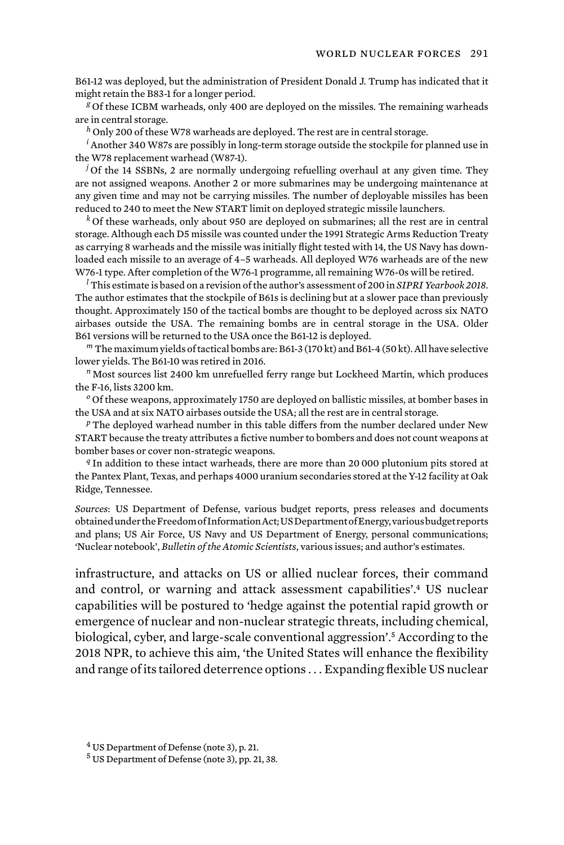B61-12 was deployed, but the administration of President Donald J. Trump has indicated that it might retain the B83-1 for a longer period.

*<sup>g</sup>* Of these ICBM warheads, only 400 are deployed on the missiles. The remaining warheads are in central storage.

*<sup>h</sup>* Only 200 of these W78 warheads are deployed. The rest are in central storage.

*<sup>i</sup>* Another 340 W87s are possibly in long-term storage outside the stockpile for planned use in the W78 replacement warhead (W87-1).

*<sup>j</sup>* Of the 14 SSBNs, 2 are normally undergoing refuelling overhaul at any given time. They are not assigned weapons. Another 2 or more submarines may be undergoing maintenance at any given time and may not be carrying missiles. The number of deployable missiles has been reduced to 240 to meet the New START limit on deployed strategic missile launchers.

*<sup>k</sup>* Of these warheads, only about 950 are deployed on submarines; all the rest are in central storage. Although each D5 missile was counted under the 1991 Strategic Arms Reduction Treaty as carrying 8 warheads and the missile was initially flight tested with 14, the US Navy has downloaded each missile to an average of 4–5 warheads. All deployed W76 warheads are of the new W76-1 type. After completion of the W76-1 programme, all remaining W76-0s will be retired.

*<sup>l</sup>* This estimate is based on a revision of the author's assessment of 200 in *SIPRI Yearbook 2018*. The author estimates that the stockpile of B61s is declining but at a slower pace than previously thought. Approximately 150 of the tactical bombs are thought to be deployed across six NATO airbases outside the USA. The remaining bombs are in central storage in the USA. Older B61 versions will be returned to the USA once the B61-12 is deployed.

*<sup>m</sup>* The maximum yields of tactical bombs are: B61-3 (170 kt) and B61-4 (50 kt). All have selective lower yields. The B61-10 was retired in 2016.

*<sup>n</sup>* Most sources list 2400 km unrefuelled ferry range but Lockheed Martin, which produces the F-16, lists 3200 km.

*<sup>o</sup>* Of these weapons, approximately 1750 are deployed on ballistic missiles, at bomber bases in the USA and at six NATO airbases outside the USA; all the rest are in central storage.

*<sup>p</sup>* The deployed warhead number in this table differs from the number declared under New START because the treaty attributes a fictive number to bombers and does not count weapons at bomber bases or cover non-strategic weapons.

*<sup>q</sup>* In addition to these intact warheads, there are more than 20 000 plutonium pits stored at the Pantex Plant, Texas, and perhaps 4000 uranium secondaries stored at the Y-12 facility at Oak Ridge, Tennessee.

*Sources*: US Department of Defense, various budget reports, press releases and documents obtained under the Freedom of Information Act; US Department of Energy, various budget reports and plans; US Air Force, US Navy and US Department of Energy, personal communications; 'Nuclear notebook', *Bulletin of the Atomic Scientists*, various issues; and author's estimates.

infrastructure, and attacks on US or allied nuclear forces, their command and control, or warning and attack assessment capabilities'.4 US nuclear capabilities will be postured to 'hedge against the potential rapid growth or emergence of nuclear and non-nuclear strategic threats, including chemical, biological, cyber, and large-scale conventional aggression'.5 According to the 2018 NPR, to achieve this aim, 'the United States will enhance the flexibility and range of its tailored deterrence options . . . Expanding flexible US nuclear

<sup>4</sup> US Department of Defense (note 3), p. 21.

<sup>5</sup> US Department of Defense (note 3), pp. 21, 38.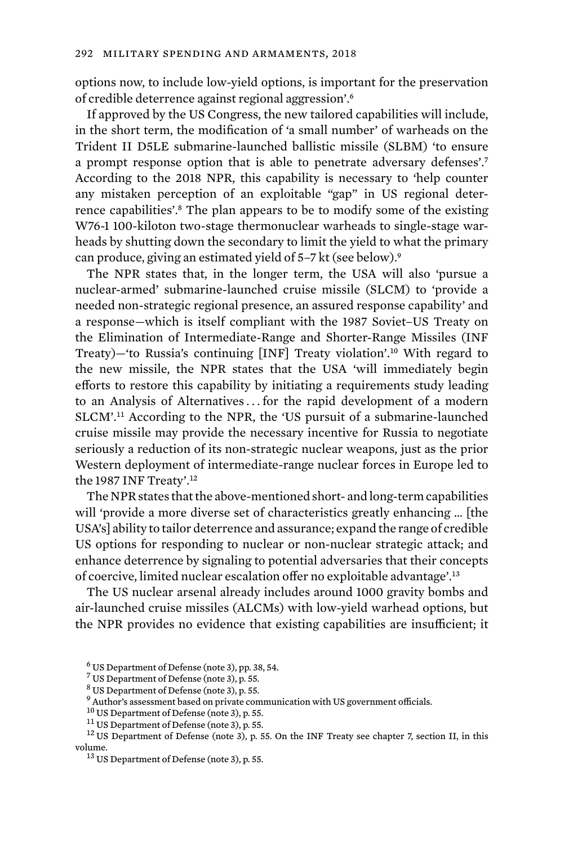options now, to include low-yield options, is important for the preservation of credible deterrence against regional aggression'.<sup>6</sup>

If approved by the US Congress, the new tailored capabilities will include, in the short term, the modification of 'a small number' of warheads on the Trident II D5LE submarine-launched ballistic missile (SLBM) 'to ensure a prompt response option that is able to penetrate adversary defenses'.<sup>7</sup> According to the 2018 NPR, this capability is necessary to 'help counter any mistaken perception of an exploitable "gap" in US regional deterrence capabilities'.<sup>8</sup> The plan appears to be to modify some of the existing W76-1 100-kiloton two-stage thermonuclear warheads to single-stage warheads by shutting down the secondary to limit the yield to what the primary can produce, giving an estimated yield of 5–7 kt (see below).<sup>9</sup>

The NPR states that, in the longer term, the USA will also 'pursue a nuclear-armed' submarine-launched cruise missile (SLCM) to 'provide a needed non-strategic regional presence, an assured response capability' and a response—which is itself compliant with the 1987 Soviet–US Treaty on the Elimination of Intermediate-Range and Shorter-Range Missiles (INF Treaty)—'to Russia's continuing [INF] Treaty violation'.10 With regard to the new missile, the NPR states that the USA 'will immediately begin efforts to restore this capability by initiating a requirements study leading to an Analysis of Alternatives ... for the rapid development of a modern SLCM'.11 According to the NPR, the 'US pursuit of a submarine-launched cruise missile may provide the necessary incentive for Russia to negotiate seriously a reduction of its non-strategic nuclear weapons, just as the prior Western deployment of intermediate-range nuclear forces in Europe led to the 1987 INF Treaty'.<sup>12</sup>

The NPR states that the above-mentioned short- and long-term capabilities will 'provide a more diverse set of characteristics greatly enhancing … [the USA's] ability to tailor deterrence and assurance; expand the range of credible US options for responding to nuclear or non-nuclear strategic attack; and enhance deterrence by signaling to potential adversaries that their concepts of coercive, limited nuclear escalation offer no exploitable advantage'.<sup>13</sup>

The US nuclear arsenal already includes around 1000 gravity bombs and air-launched cruise missiles (ALCMs) with low-yield warhead options, but the NPR provides no evidence that existing capabilities are insufficient; it

<sup>6</sup> US Department of Defense (note 3), pp. 38, 54.

<sup>7</sup> US Department of Defense (note 3), p. 55.

<sup>8</sup> US Department of Defense (note 3), p. 55.

 $^9$  Author's assessment based on private communication with US government officials.  $^{10}$  US Department of Defense (note 3), p. 55.

<sup>&</sup>lt;sup>11</sup> US Department of Defense (note 3), p. 55.<br><sup>12</sup> US Department of Defense (note 3), p. 55. On the INF Treaty see chapter 7, section II, in this volume.<br><sup>13</sup> US Department of Defense (note 3), p. 55.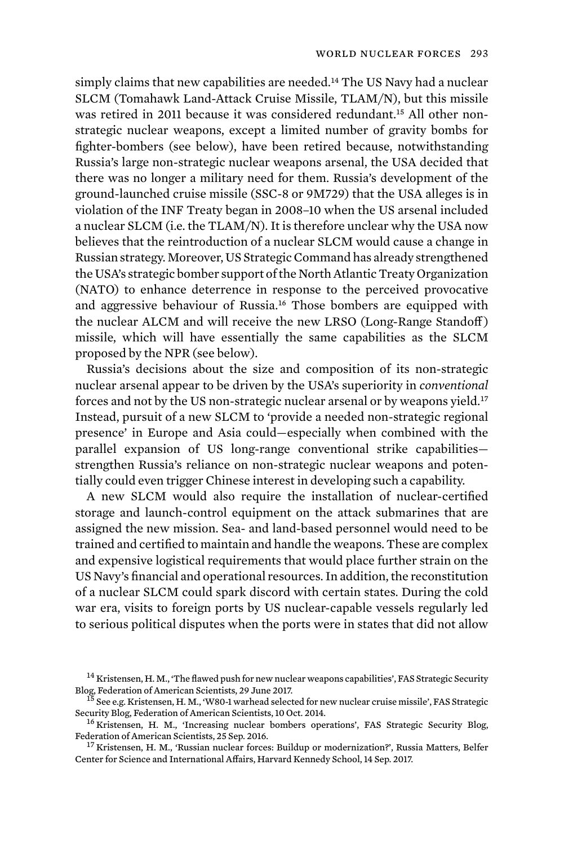simply claims that new capabilities are needed.<sup>14</sup> The US Navy had a nuclear SLCM (Tomahawk Land-Attack Cruise Missile, TLAM/N), but this missile was retired in 2011 because it was considered redundant.15 All other nonstrategic nuclear weapons, except a limited number of gravity bombs for fighter-bombers (see below), have been retired because, notwithstanding Russia's large non-strategic nuclear weapons arsenal, the USA decided that there was no longer a military need for them. Russia's development of the ground-launched cruise missile (SSC-8 or 9M729) that the USA alleges is in violation of the INF Treaty began in 2008–10 when the US arsenal included a nuclear SLCM (i.e. the TLAM/N). It is therefore unclear why the USA now believes that the reintroduction of a nuclear SLCM would cause a change in Russian strategy. Moreover, US Strategic Command has already strengthened the USA's strategic bomber support of the North Atlantic Treaty Organization (NATO) to enhance deterrence in response to the perceived provocative and aggressive behaviour of Russia.16 Those bombers are equipped with the nuclear ALCM and will receive the new LRSO (Long-Range Standoff) missile, which will have essentially the same capabilities as the SLCM proposed by the NPR (see below).

Russia's decisions about the size and composition of its non-strategic nuclear arsenal appear to be driven by the USA's superiority in *conventional*  forces and not by the US non-strategic nuclear arsenal or by weapons yield*.* 17 Instead, pursuit of a new SLCM to 'provide a needed non-strategic regional presence' in Europe and Asia could—especially when combined with the parallel expansion of US long-range conventional strike capabilities strengthen Russia's reliance on non-strategic nuclear weapons and potentially could even trigger Chinese interest in developing such a capability.

A new SLCM would also require the installation of nuclear-certified storage and launch-control equipment on the attack submarines that are assigned the new mission. Sea- and land-based personnel would need to be trained and certified to maintain and handle the weapons. These are complex and expensive logistical requirements that would place further strain on the US Navy's financial and operational resources. In addition, the reconstitution of a nuclear SLCM could spark discord with certain states. During the cold war era, visits to foreign ports by US nuclear-capable vessels regularly led to serious political disputes when the ports were in states that did not allow

 $14$  Kristensen, H. M., 'The flawed push for new nuclear weapons capabilities', FAS Strategic Security Blog, Federation of American Scientists, 29 June 2017.

 $B^{\overline{15}}$  See e.g. Kristensen, H. M., 'W80-1 warhead selected for new nuclear cruise missile', FAS Strategic<br>Security Blog, Federation of American Scientists, 10 Oct. 2014.

 $^{16}$ Kristensen, H. M., 'Increasing nuclear bombers operations', FAS Strategic Security Blog, Federation of American Scientists, 25 Sep. 2016.

<sup>&</sup>lt;sup>17</sup> Kristensen, H. M., 'Russian nuclear forces: Buildup or modernization?', Russia Matters, Belfer Center for Science and International Affairs, Harvard Kennedy School, 14 Sep. 2017.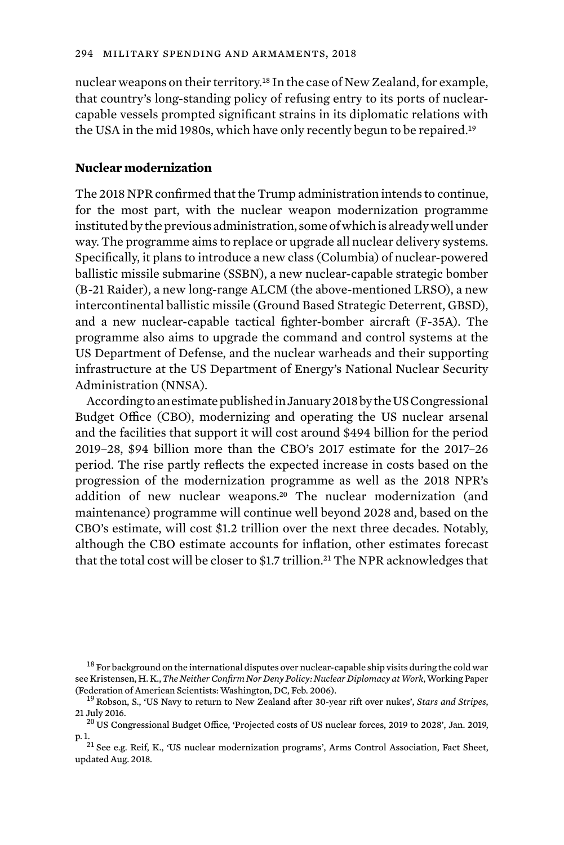nuclear weapons on their territory.18 In the case of New Zealand, for example, that country's long-standing policy of refusing entry to its ports of nuclearcapable vessels prompted significant strains in its diplomatic relations with the USA in the mid 1980s, which have only recently begun to be repaired.<sup>19</sup>

## **Nuclear modernization**

The 2018 NPR confirmed that the Trump administration intends to continue, for the most part, with the nuclear weapon modernization programme instituted by the previous administration, some of which is already well under way. The programme aims to replace or upgrade all nuclear delivery systems. Specifically, it plans to introduce a new class (Columbia) of nuclear-powered ballistic missile submarine (SSBN), a new nuclear-capable strategic bomber (B-21 Raider), a new long-range ALCM (the above-mentioned LRSO), a new intercontinental ballistic missile (Ground Based Strategic Deterrent, GBSD), and a new nuclear-capable tactical fighter-bomber aircraft (F-35A). The programme also aims to upgrade the command and control systems at the US Department of Defense, and the nuclear warheads and their supporting infrastructure at the US Department of Energy's National Nuclear Security Administration (NNSA).

According to an estimate published in January 2018 by the US Congressional Budget Office (CBO), modernizing and operating the US nuclear arsenal and the facilities that support it will cost around \$494 billion for the period 2019–28, \$94 billion more than the CBO's 2017 estimate for the 2017–26 period. The rise partly reflects the expected increase in costs based on the progression of the modernization programme as well as the 2018 NPR's addition of new nuclear weapons.20 The nuclear modernization (and maintenance) programme will continue well beyond 2028 and, based on the CBO's estimate, will cost \$1.2 trillion over the next three decades. Notably, although the CBO estimate accounts for inflation, other estimates forecast that the total cost will be closer to \$1.7 trillion.<sup>21</sup> The NPR acknowledges that

<sup>&</sup>lt;sup>18</sup> For background on the international disputes over nuclear-capable ship visits during the cold war see Kristensen, H. K., *The Neither Confirm Nor Deny Policy: Nuclear Diplomacy at Work*, Working Paper (Federation of American Scientists: Washington, DC, Feb. 2006).

<sup>19</sup> Robson, S., 'US Navy to return to New Zealand after 30-year rift over nukes', *Stars and Stripes*, 21 July 2016. <sup>20</sup> US Congressional Budget Office, 'Projected costs of US nuclear forces, 2019 to 2028', Jan. 2019,

p. 1.<br><sup>21</sup> See e.g. Reif, K., 'US nuclear modernization programs', Arms Control Association, Fact Sheet, updated Aug. 2018.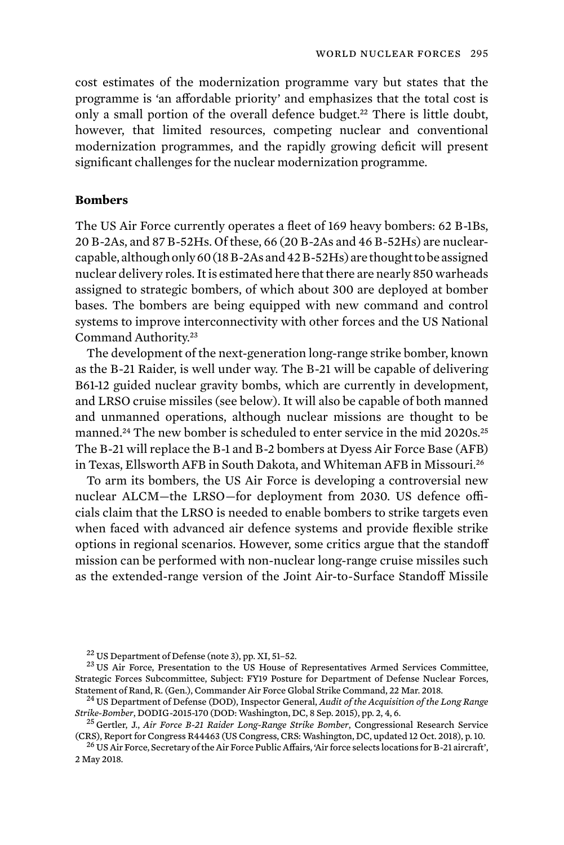cost estimates of the modernization programme vary but states that the programme is 'an affordable priority' and emphasizes that the total cost is only a small portion of the overall defence budget.<sup>22</sup> There is little doubt, however, that limited resources, competing nuclear and conventional modernization programmes, and the rapidly growing deficit will present significant challenges for the nuclear modernization programme.

## **Bombers**

The US Air Force currently operates a fleet of 169 heavy bombers: 62 B-1Bs, 20 B-2As, and 87 B-52Hs. Of these, 66 (20 B-2As and 46 B-52Hs) are nuclearcapable, although only 60 (18 B-2As and 42 B-52Hs) are thought to be assigned nuclear delivery roles. It is estimated here that there are nearly 850 warheads assigned to strategic bombers, of which about 300 are deployed at bomber bases. The bombers are being equipped with new command and control systems to improve interconnectivity with other forces and the US National Command Authority.<sup>23</sup>

The development of the next-generation long-range strike bomber, known as the B-21 Raider, is well under way. The B-21 will be capable of delivering B61-12 guided nuclear gravity bombs, which are currently in development, and LRSO cruise missiles (see below). It will also be capable of both manned and unmanned operations, although nuclear missions are thought to be manned.<sup>24</sup> The new bomber is scheduled to enter service in the mid 2020s.<sup>25</sup> The B-21 will replace the B-1 and B-2 bombers at Dyess Air Force Base (AFB) in Texas, Ellsworth AFB in South Dakota, and Whiteman AFB in Missouri.<sup>26</sup>

To arm its bombers, the US Air Force is developing a controversial new nuclear ALCM—the LRSO—for deployment from 2030. US defence officials claim that the LRSO is needed to enable bombers to strike targets even when faced with advanced air defence systems and provide flexible strike options in regional scenarios. However, some critics argue that the standoff mission can be performed with non-nuclear long-range cruise missiles such as the extended-range version of the Joint Air-to-Surface Standoff Missile

<sup>26</sup> US Air Force, Secretary of the Air Force Public Affairs, 'Air force selects locations for B-21 aircraft', 2 May 2018.

<sup>&</sup>lt;sup>22</sup> US Department of Defense (note 3), pp. XI, 51–52.<br><sup>23</sup> US Air Force, Presentation to the US House of Representatives Armed Services Committee, Strategic Forces Subcommittee, Subject: FY19 Posture for Department of Defense Nuclear Forces,

Statement of Rand, R. (Gen.), Commander Air Force Global Strike Command, 22 Mar. 2018.<br><sup>24</sup> US Department of Defense (DOD), Inspector General, *Audit of the Acquisition of the Long Range Strike-Bomber*, DODIG-2015-170 (DOD

<sup>&</sup>lt;sup>25</sup> Gertler, J., *Air Force B-21 Raider Long-Range Strike Bomber*, Congressional Research Service (CRS), Report for Congress R44463 (US Congress, CRS: Washington, DC, updated 12 Oct. 2018), p. 10.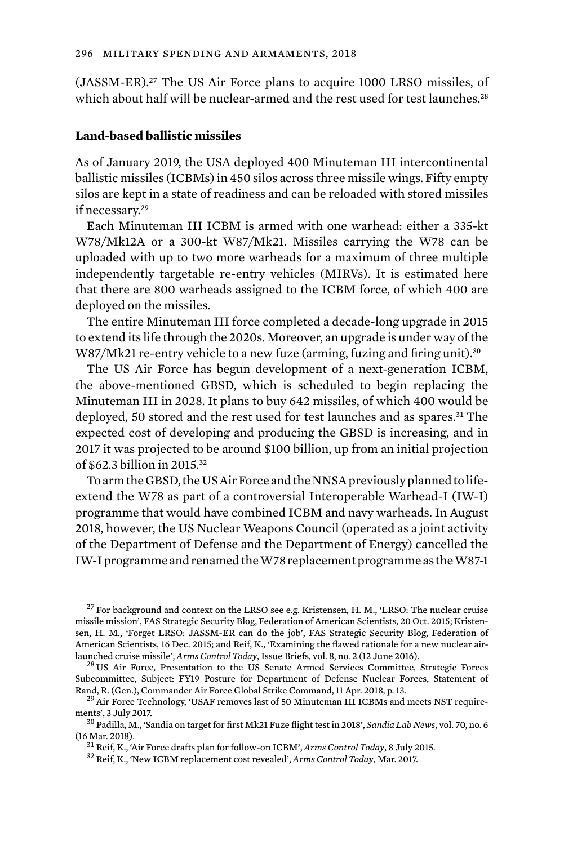(JASSM-ER).27 The US Air Force plans to acquire 1000 LRSO missiles, of which about half will be nuclear-armed and the rest used for test launches.<sup>28</sup>

### **Land-based ballistic missiles**

As of January 2019, the USA deployed 400 Minuteman III intercontinental ballistic missiles (ICBMs) in 450 silos across three missile wings. Fifty empty silos are kept in a state of readiness and can be reloaded with stored missiles if necessary.<sup>29</sup>

Each Minuteman III ICBM is armed with one warhead: either a 335-kt W78/Mk12A or a 300-kt W87/Mk21. Missiles carrying the W78 can be uploaded with up to two more warheads for a maximum of three multiple independently targetable re-entry vehicles (MIRVs). It is estimated here that there are 800 warheads assigned to the ICBM force, of which 400 are deployed on the missiles.

The entire Minuteman III force completed a decade-long upgrade in 2015 to extend its life through the 2020s. Moreover, an upgrade is under way of the W87/Mk21 re-entry vehicle to a new fuze (arming, fuzing and firing unit).<sup>30</sup>

The US Air Force has begun development of a next-generation ICBM, the above-mentioned GBSD, which is scheduled to begin replacing the Minuteman III in 2028. It plans to buy 642 missiles, of which 400 would be deployed, 50 stored and the rest used for test launches and as spares.<sup>31</sup> The expected cost of developing and producing the GBSD is increasing, and in 2017 it was projected to be around \$100 billion, up from an initial projection of \$62.3 billion in 2015.<sup>32</sup>

To arm the GBSD, the US Air Force and the NNSA previously planned to lifeextend the W78 as part of a controversial Interoperable Warhead-I (IW-I) programme that would have combined ICBM and navy warheads. In August 2018, however, the US Nuclear Weapons Council (operated as a joint activity of the Department of Defense and the Department of Energy) cancelled the IW-I programme and renamed the W78 replacement programme as the W87-1

 $27$  For background and context on the LRSO see e.g. Kristensen, H. M., 'LRSO: The nuclear cruise missile mission', FAS Strategic Security Blog, Federation of American Scientists, 20 Oct. 2015; Kristensen, H. M., 'Forget LRSO: JASSM-ER can do the job', FAS Strategic Security Blog, Federation of American Scientists, 16 Dec. 2015; and Reif, K., 'Examining the flawed rationale for a new nuclear airlaunched cruise missile', *Arms Control Today*, Issue Briefs, vol. 8, no. 2 (12 June 2016). <sup>28</sup> US Air Force, Presentation to the US Senate Armed Services Committee, Strategic Forces

Subcommittee, Subject: FY19 Posture for Department of Defense Nuclear Forces, Statement of

Rand, R. (Gen.), Commander Air Force Global Strike Command, 11 Apr. 2018, p. 13.<br><sup>29</sup> Air Force Technology, 'USAF removes last of 50 Minuteman III ICBMs and meets NST require-<br>ments', 3 July 2017.

<sup>&</sup>lt;sup>30</sup> Padilla, M., 'Sandia on target for first Mk21 Fuze flight test in 2018', *Sandia Lab News*, vol. 70, no. 6 (16 Mar. 2018). <sup>31</sup> Reif, K., 'Air Force drafts plan for follow-on ICBM', *Arms Control Today*, 8 July 2015. <sup>32</sup> Reif, K., 'New ICBM replacement cost revealed', *Arms Control Today*, Mar. 2017.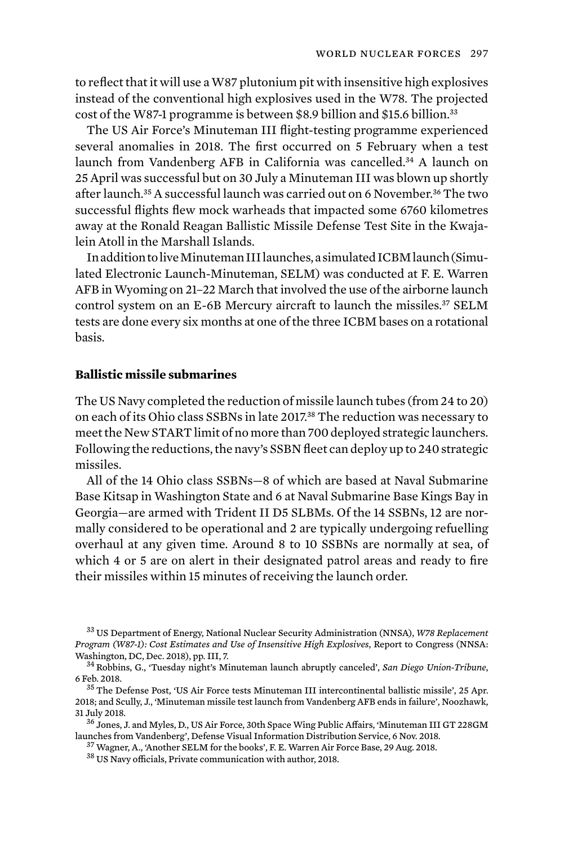to reflect that it will use a W87 plutonium pit with insensitive high explosives instead of the conventional high explosives used in the W78. The projected cost of the W87-1 programme is between \$8.9 billion and \$15.6 billion.<sup>33</sup>

The US Air Force's Minuteman III flight-testing programme experienced several anomalies in 2018. The first occurred on 5 February when a test launch from Vandenberg AFB in California was cancelled.34 A launch on 25 April was successful but on 30 July a Minuteman III was blown up shortly after launch.<sup>35</sup> A successful launch was carried out on 6 November.<sup>36</sup> The two successful flights flew mock warheads that impacted some 6760 kilometres away at the Ronald Reagan Ballistic Missile Defense Test Site in the Kwajalein Atoll in the Marshall Islands.

In addition to live Minuteman III launches, a simulated ICBM launch (Simulated Electronic Launch-Minuteman, SELM) was conducted at F. E. Warren AFB in Wyoming on 21–22 March that involved the use of the airborne launch control system on an E-6B Mercury aircraft to launch the missiles.37 SELM tests are done every six months at one of the three ICBM bases on a rotational basis.

#### **Ballistic missile submarines**

The US Navy completed the reduction of missile launch tubes (from 24 to 20) on each of its Ohio class SSBNs in late 2017.38 The reduction was necessary to meet the New START limit of no more than 700 deployed strategic launchers. Following the reductions, the navy's SSBN fleet can deploy up to 240 strategic missiles.

All of the 14 Ohio class SSBNs—8 of which are based at Naval Submarine Base Kitsap in Washington State and 6 at Naval Submarine Base Kings Bay in Georgia—are armed with Trident II D5 SLBMs. Of the 14 SSBNs, 12 are normally considered to be operational and 2 are typically undergoing refuelling overhaul at any given time. Around 8 to 10 SSBNs are normally at sea, of which 4 or 5 are on alert in their designated patrol areas and ready to fire their missiles within 15 minutes of receiving the launch order.

<sup>33</sup> US Department of Energy, National Nuclear Security Administration (NNSA), *W78 Replacement Program (W87-1): Cost Estimates and Use of Insensitive High Explosives*, Report to Congress (NNSA: Washington, DC, Dec. 2018), pp. III, 7. <sup>34</sup> Robbins, G., 'Tuesday night's Minuteman launch abruptly canceled', *San Diego Union-Tribune*,

<sup>6</sup> Feb. 2018. <sup>35</sup> The Defense Post, 'US Air Force tests Minuteman III intercontinental ballistic missile', 25 Apr.

<sup>2018;</sup> and Scully, J., 'Minuteman missile test launch from Vandenberg AFB ends in failure', Noozhawk,

<sup>31</sup> July 2018.<br><sup>36</sup> Jones, J. and Myles, D., US Air Force, 30th Space Wing Public Affairs, 'Minuteman III GT 228GM<br>launches from Vandenberg'. Defense Visual Information Distribution Service, 6 Nov. 2018.

 $^{37}$  Wagner, A., 'Another SELM for the books', F. E. Warren Air Force Base, 29 Aug. 2018.  $^{38}$  US Navy officials, Private communication with author, 2018.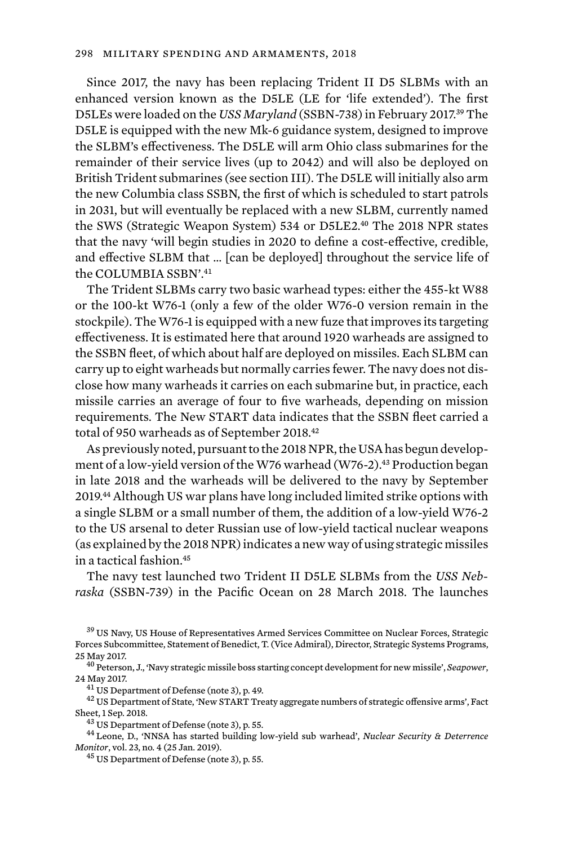Since 2017, the navy has been replacing Trident II D5 SLBMs with an enhanced version known as the D5LE (LE for 'life extended'). The first D5LEs were loaded on the *USS Maryland* (SSBN-738) in February 2017.39 The D5LE is equipped with the new Mk-6 guidance system, designed to improve the SLBM's effectiveness. The D5LE will arm Ohio class submarines for the remainder of their service lives (up to 2042) and will also be deployed on British Trident submarines *(*see section III). The D5LE will initially also arm the new Columbia class SSBN, the first of which is scheduled to start patrols in 2031, but will eventually be replaced with a new SLBM, currently named the SWS (Strategic Weapon System) 534 or D5LE2.<sup>40</sup> The 2018 NPR states that the navy 'will begin studies in 2020 to define a cost-effective, credible, and effective SLBM that … [can be deployed] throughout the service life of the COLUMBIA SSBN'<sup>41</sup>

The Trident SLBMs carry two basic warhead types: either the 455-kt W88 or the 100-kt W76-1 (only a few of the older W76-0 version remain in the stockpile). The W76-1 is equipped with a new fuze that improves its targeting effectiveness. It is estimated here that around 1920 warheads are assigned to the SSBN fleet, of which about half are deployed on missiles. Each SLBM can carry up to eight warheads but normally carries fewer. The navy does not disclose how many warheads it carries on each submarine but, in practice, each missile carries an average of four to five warheads, depending on mission requirements. The New START data indicates that the SSBN fleet carried a total of 950 warheads as of September 2018.<sup>42</sup>

As previously noted, pursuant to the 2018 NPR, the USA has begun development of a low-yield version of the W76 warhead (W76-2).<sup>43</sup> Production began in late 2018 and the warheads will be delivered to the navy by September 2019.44 Although US war plans have long included limited strike options with a single SLBM or a small number of them, the addition of a low-yield W76-2 to the US arsenal to deter Russian use of low-yield tactical nuclear weapons (as explained by the 2018 NPR) indicates a new way of using strategic missiles in a tactical fashion.<sup>45</sup>

The navy test launched two Trident II D5LE SLBMs from the *USS Nebraska* (SSBN-739) in the Pacific Ocean on 28 March 2018. The launches

<sup>39</sup> US Navy, US House of Representatives Armed Services Committee on Nuclear Forces, Strategic Forces Subcommittee, Statement of Benedict, T. (Vice Admiral), Director, Strategic Systems Programs, 25 May 2017. <sup>40</sup> Peterson, J., 'Navy strategic missile boss starting concept development for new missile', *Seapower*,

<sup>24</sup> May 2017.<br> $^{41}$  US Department of Defense (note 3), p. 49.<br> $^{42}$  US Department of State, 'New START Treaty aggregate numbers of strategic offensive arms', Fact

Sheet, 1 Sep. 2018. <sup>43</sup> US Department of Defense (note 3), p. 55. <sup>44</sup> Leone, D., 'NNSA has started building low-yield sub warhead', *Nuclear Security & Deterrence* 

*Monitor*, vol. 23, no. 4 (25 Jan. 2019).<br><sup>45</sup> US Department of Defense (note 3), p. 55.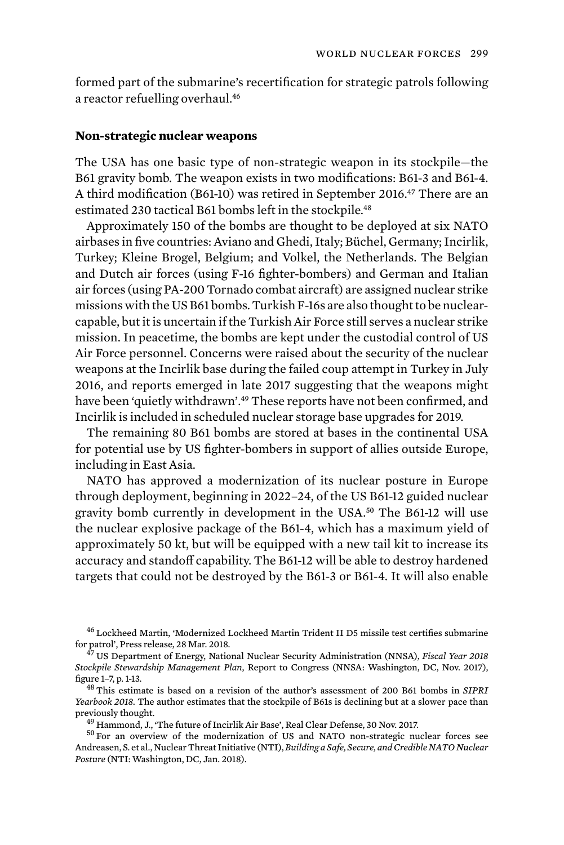formed part of the submarine's recertification for strategic patrols following a reactor refuelling overhaul.<sup>46</sup>

### **Non-strategic nuclear weapons**

The USA has one basic type of non-strategic weapon in its stockpile—the B61 gravity bomb. The weapon exists in two modifications: B61-3 and B61-4. A third modification (B61-10) was retired in September 2016.47 There are an estimated 230 tactical B61 bombs left in the stockpile.<sup>48</sup>

Approximately 150 of the bombs are thought to be deployed at six NATO airbases in five countries: Aviano and Ghedi, Italy; Büchel, Germany; Incirlik, Turkey; Kleine Brogel, Belgium; and Volkel, the Netherlands. The Belgian and Dutch air forces (using F-16 fighter-bombers) and German and Italian air forces (using PA-200 Tornado combat aircraft) are assigned nuclear strike missions with the US B61 bombs. Turkish F-16s are also thought to be nuclearcapable, but it is uncertain if the Turkish Air Force still serves a nuclear strike mission. In peacetime, the bombs are kept under the custodial control of US Air Force personnel. Concerns were raised about the security of the nuclear weapons at the Incirlik base during the failed coup attempt in Turkey in July 2016, and reports emerged in late 2017 suggesting that the weapons might have been 'quietly withdrawn'.<sup>49</sup> These reports have not been confirmed, and Incirlik is included in scheduled nuclear storage base upgrades for 2019.

The remaining 80 B61 bombs are stored at bases in the continental USA for potential use by US fighter-bombers in support of allies outside Europe, including in East Asia.

NATO has approved a modernization of its nuclear posture in Europe through deployment, beginning in 2022–24, of the US B61-12 guided nuclear gravity bomb currently in development in the USA.50 The B61-12 will use the nuclear explosive package of the B61-4, which has a maximum yield of approximately 50 kt, but will be equipped with a new tail kit to increase its accuracy and standoff capability. The B61-12 will be able to destroy hardened targets that could not be destroyed by the B61-3 or B61-4. It will also enable

<sup>46</sup> Lockheed Martin, 'Modernized Lockheed Martin Trident II D5 missile test certifies submarine for patrol', Press release, 28 Mar. 2018. <sup>47</sup> US Department of Energy, National Nuclear Security Administration (NNSA), *Fiscal Year 2018* 

*Stockpile Stewardship Management Plan*, Report to Congress (NNSA: Washington, DC, Nov. 2017), figure 1–7, p. 1-13. <sup>48</sup> This estimate is based on a revision of the author's assessment of 200 B61 bombs in *SIPRI* 

*Yearbook 2018.* The author estimates that the stockpile of B61s is declining but at a slower pace than previously thought.<br><sup>49</sup> Hammond, J., 'The future of Incirlik Air Base', Real Clear Defense, 30 Nov. 2017.<br><sup>50</sup> For an overview of the modernization of US and NATO non-strategic nuclear forces see

Andreasen, S. et al., Nuclear Threat Initiative (NTI), *Building a Safe, Secure, and Credible NATO Nuclear Posture* (NTI: Washington, DC, Jan. 2018).